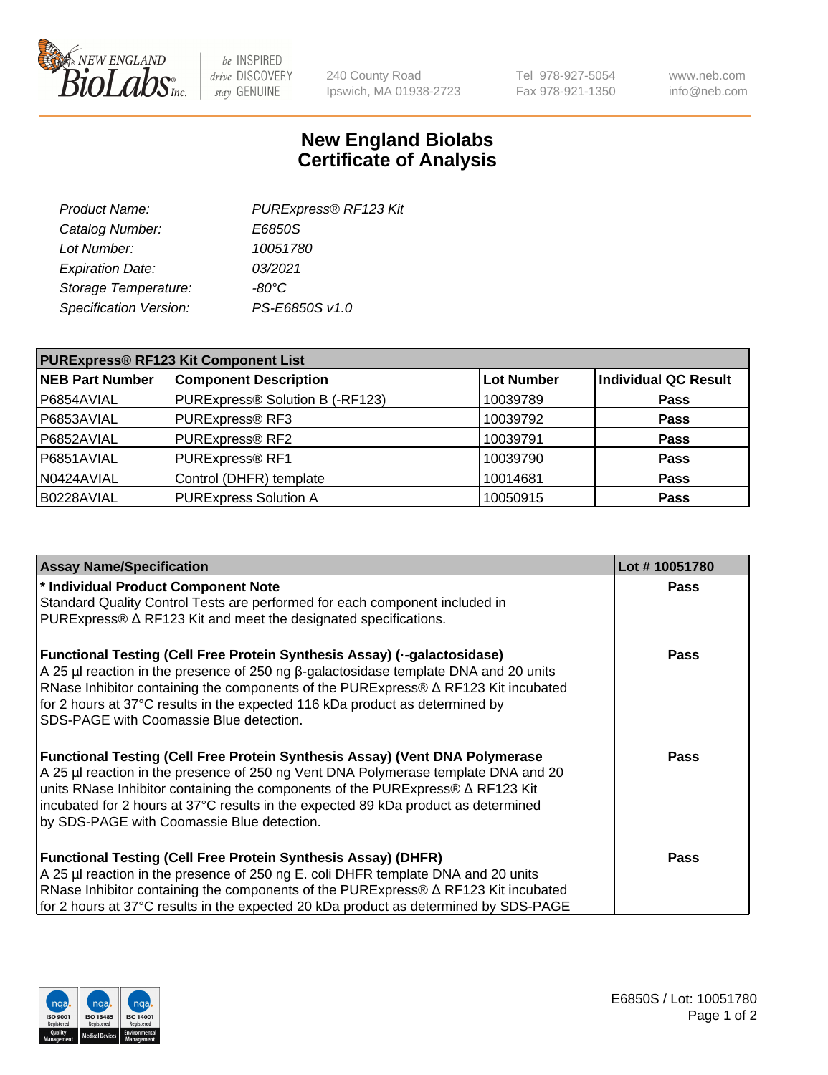

 $be$  INSPIRED drive DISCOVERY stay GENUINE

240 County Road Ipswich, MA 01938-2723 Tel 978-927-5054 Fax 978-921-1350 www.neb.com info@neb.com

## **New England Biolabs Certificate of Analysis**

| Product Name:           | PURExpress® RF123 Kit |
|-------------------------|-----------------------|
| Catalog Number:         | E6850S                |
| Lot Number:             | 10051780              |
| <b>Expiration Date:</b> | 03/2021               |
| Storage Temperature:    | $-80^{\circ}$ C       |
| Specification Version:  | PS-E6850S v1.0        |
|                         |                       |

| <b>PURExpress® RF123 Kit Component List</b> |                                 |                   |                             |  |
|---------------------------------------------|---------------------------------|-------------------|-----------------------------|--|
| <b>NEB Part Number</b>                      | <b>Component Description</b>    | <b>Lot Number</b> | <b>Individual QC Result</b> |  |
| P6854AVIAL                                  | PURExpress® Solution B (-RF123) | 10039789          | <b>Pass</b>                 |  |
| P6853AVIAL                                  | PURExpress® RF3                 | 10039792          | <b>Pass</b>                 |  |
| P6852AVIAL                                  | PURExpress® RF2                 | 10039791          | <b>Pass</b>                 |  |
| P6851AVIAL                                  | PURExpress® RF1                 | 10039790          | <b>Pass</b>                 |  |
| N0424AVIAL                                  | Control (DHFR) template         | 10014681          | <b>Pass</b>                 |  |
| B0228AVIAL                                  | <b>PURExpress Solution A</b>    | 10050915          | <b>Pass</b>                 |  |

| <b>Assay Name/Specification</b>                                                                                                                                           | Lot #10051780 |
|---------------------------------------------------------------------------------------------------------------------------------------------------------------------------|---------------|
| * Individual Product Component Note                                                                                                                                       | <b>Pass</b>   |
| Standard Quality Control Tests are performed for each component included in<br>PURExpress® $\Delta$ RF123 Kit and meet the designated specifications.                     |               |
|                                                                                                                                                                           |               |
| <b>Functional Testing (Cell Free Protein Synthesis Assay) (--galactosidase)</b>                                                                                           | Pass          |
| A 25 µl reaction in the presence of 250 ng β-galactosidase template DNA and 20 units                                                                                      |               |
| RNase Inhibitor containing the components of the PURExpress® $\Delta$ RF123 Kit incubated<br>for 2 hours at 37°C results in the expected 116 kDa product as determined by |               |
| SDS-PAGE with Coomassie Blue detection.                                                                                                                                   |               |
|                                                                                                                                                                           |               |
| <b>Functional Testing (Cell Free Protein Synthesis Assay) (Vent DNA Polymerase</b>                                                                                        | <b>Pass</b>   |
| A 25 µl reaction in the presence of 250 ng Vent DNA Polymerase template DNA and 20<br>units RNase Inhibitor containing the components of the PURExpress® ∆ RF123 Kit      |               |
| incubated for 2 hours at 37°C results in the expected 89 kDa product as determined                                                                                        |               |
| by SDS-PAGE with Coomassie Blue detection.                                                                                                                                |               |
|                                                                                                                                                                           |               |
| <b>Functional Testing (Cell Free Protein Synthesis Assay) (DHFR)</b>                                                                                                      | <b>Pass</b>   |
| A 25 µl reaction in the presence of 250 ng E. coli DHFR template DNA and 20 units                                                                                         |               |
| RNase Inhibitor containing the components of the PURExpress® $\Delta$ RF123 Kit incubated                                                                                 |               |
| for 2 hours at 37°C results in the expected 20 kDa product as determined by SDS-PAGE                                                                                      |               |